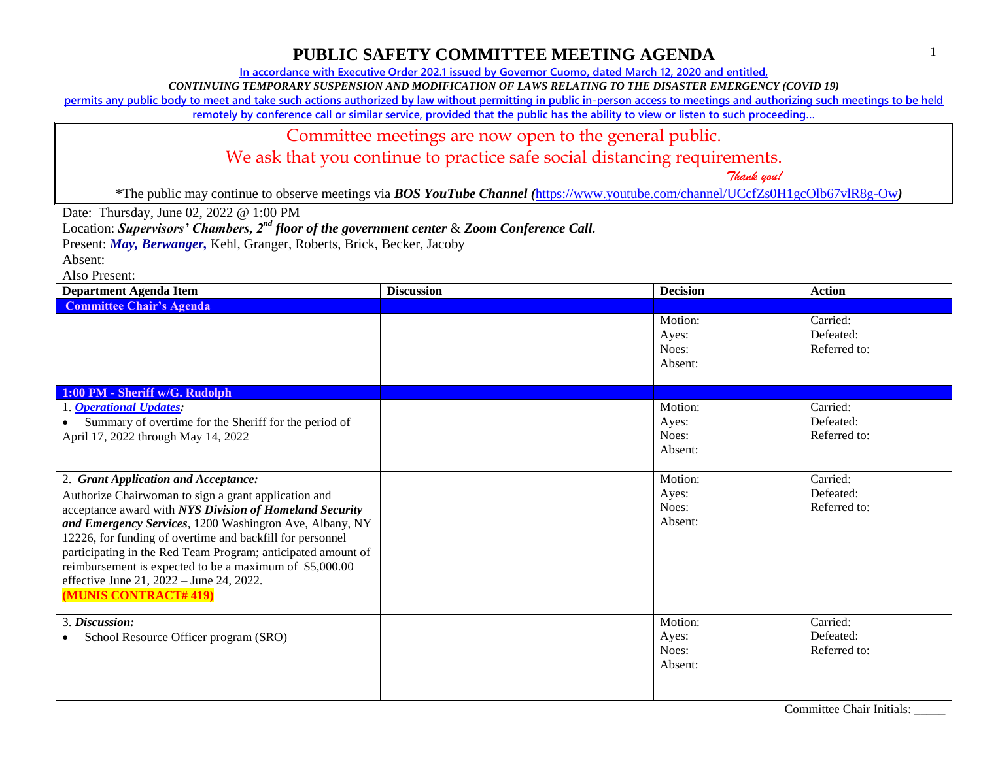**In accordance with Executive Order 202.1 issued by Governor Cuomo, dated March 12, 2020 and entitled,**

*CONTINUING TEMPORARY SUSPENSION AND MODIFICATION OF LAWS RELATING TO THE DISASTER EMERGENCY (COVID 19)*

**permits any public body to meet and take such actions authorized by law without permitting in public in-person access to meetings and authorizing such meetings to be held** 

**remotely by conference call or similar service, provided that the public has the ability to view or listen to such proceeding…**

#### Committee meetings are now open to the general public.

We ask that you continue to practice safe social distancing requirements.

 *Thank you!*

\*The public may continue to observe meetings via *BOS YouTube Channel (*<https://www.youtube.com/channel/UCcfZs0H1gcOlb67vlR8g-Ow>*)*

Date: Thursday, June 02, 2022 @ 1:00 PM

Location: *Supervisors' Chambers, 2nd floor of the government center* & *Zoom Conference Call.*

Present: *May, Berwanger,* Kehl, Granger, Roberts, Brick, Becker, Jacoby

Absent:

| <b>Department Agenda Item</b>                                                                                                                                                                                                                                                                                                                                                                                                                                                   | <b>Discussion</b> | <b>Decision</b>                                | <b>Action</b>                         |
|---------------------------------------------------------------------------------------------------------------------------------------------------------------------------------------------------------------------------------------------------------------------------------------------------------------------------------------------------------------------------------------------------------------------------------------------------------------------------------|-------------------|------------------------------------------------|---------------------------------------|
| <b>Committee Chair's Agenda</b>                                                                                                                                                                                                                                                                                                                                                                                                                                                 |                   |                                                |                                       |
|                                                                                                                                                                                                                                                                                                                                                                                                                                                                                 |                   | Motion:<br>Ayes:<br>Noes:<br>Absent:           | Carried:<br>Defeated:<br>Referred to: |
| 1:00 PM - Sheriff w/G. Rudolph                                                                                                                                                                                                                                                                                                                                                                                                                                                  |                   |                                                |                                       |
| 1. Operational Updates:<br>Summary of overtime for the Sheriff for the period of<br>April 17, 2022 through May 14, 2022                                                                                                                                                                                                                                                                                                                                                         |                   | Motion:<br>Ayes:<br>Noes:<br>Absent:           | Carried:<br>Defeated:<br>Referred to: |
| 2. Grant Application and Acceptance:<br>Authorize Chairwoman to sign a grant application and<br>acceptance award with NYS Division of Homeland Security<br>and Emergency Services, 1200 Washington Ave, Albany, NY<br>12226, for funding of overtime and backfill for personnel<br>participating in the Red Team Program; anticipated amount of<br>reimbursement is expected to be a maximum of \$5,000.00<br>effective June 21, 2022 - June 24, 2022.<br>(MUNIS CONTRACT# 419) |                   | Motion:<br>Ayes:<br>Noes:<br>Absent:           | Carried:<br>Defeated:<br>Referred to: |
| 3. Discussion:<br>School Resource Officer program (SRO)                                                                                                                                                                                                                                                                                                                                                                                                                         |                   | Motion:<br>Ayes:<br>Noes:<br>Absent:<br>$\sim$ | Carried:<br>Defeated:<br>Referred to: |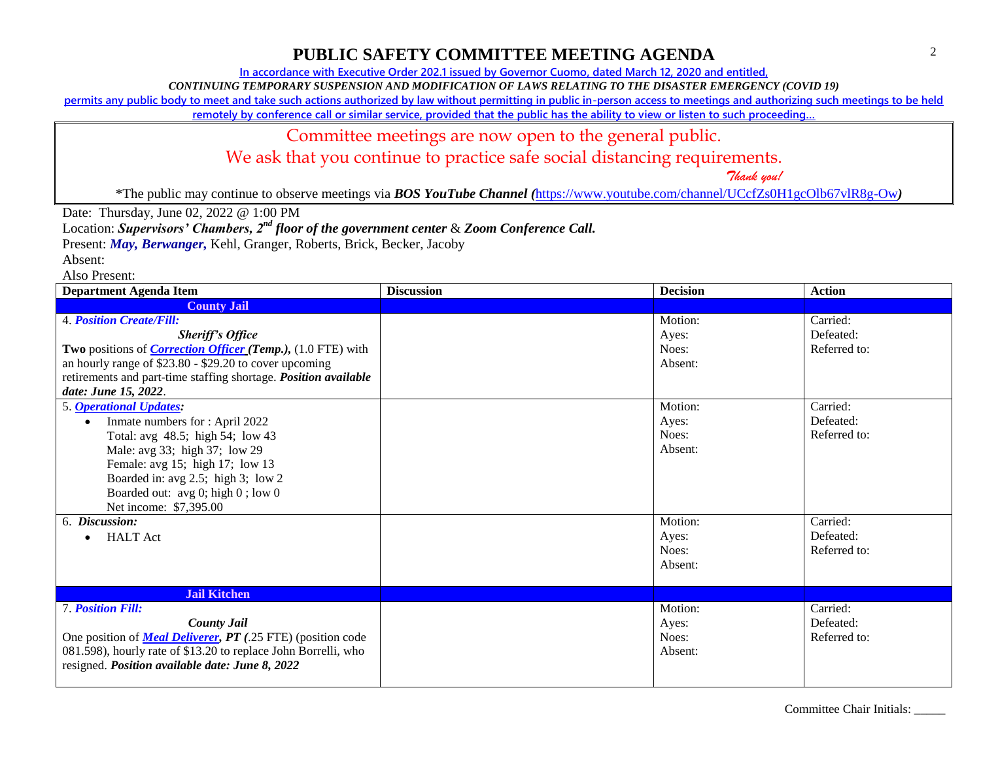**In accordance with Executive Order 202.1 issued by Governor Cuomo, dated March 12, 2020 and entitled,**

*CONTINUING TEMPORARY SUSPENSION AND MODIFICATION OF LAWS RELATING TO THE DISASTER EMERGENCY (COVID 19)*

**permits any public body to meet and take such actions authorized by law without permitting in public in-person access to meetings and authorizing such meetings to be held** 

**remotely by conference call or similar service, provided that the public has the ability to view or listen to such proceeding…**

#### Committee meetings are now open to the general public.

We ask that you continue to practice safe social distancing requirements.

 *Thank you!*

\*The public may continue to observe meetings via *BOS YouTube Channel (*<https://www.youtube.com/channel/UCcfZs0H1gcOlb67vlR8g-Ow>*)*

Date: Thursday, June 02, 2022 @ 1:00 PM

Location: *Supervisors' Chambers, 2nd floor of the government center* & *Zoom Conference Call.*

Present: *May, Berwanger,* Kehl, Granger, Roberts, Brick, Becker, Jacoby

Absent:

| <b>Department Agenda Item</b>                                                                                                                                                                                                                                                              | <b>Discussion</b> | <b>Decision</b>                      | <b>Action</b>                         |
|--------------------------------------------------------------------------------------------------------------------------------------------------------------------------------------------------------------------------------------------------------------------------------------------|-------------------|--------------------------------------|---------------------------------------|
| <b>County Jail</b>                                                                                                                                                                                                                                                                         |                   |                                      |                                       |
| <b>4. Position Create/Fill:</b><br><b>Sheriff's Office</b><br>Two positions of <i>Correction Officer (Temp.)</i> , (1.0 FTE) with<br>an hourly range of \$23.80 - \$29.20 to cover upcoming<br>retirements and part-time staffing shortage. Position available<br>date: June 15, 2022.     |                   | Motion:<br>Ayes:<br>Noes:<br>Absent: | Carried:<br>Defeated:<br>Referred to: |
| 5. <b>Operational Updates:</b><br>Inmate numbers for: April 2022<br>$\bullet$<br>Total: avg 48.5; high 54; low 43<br>Male: avg 33; high 37; low 29<br>Female: avg 15; high 17; low 13<br>Boarded in: avg 2.5; high 3; low 2<br>Boarded out: avg 0; high 0; low 0<br>Net income: \$7,395.00 |                   | Motion:<br>Ayes:<br>Noes:<br>Absent: | Carried:<br>Defeated:<br>Referred to: |
| Discussion:<br>6.<br><b>HALT</b> Act<br>$\bullet$<br><b>Jail Kitchen</b>                                                                                                                                                                                                                   |                   | Motion:<br>Ayes:<br>Noes:<br>Absent: | Carried:<br>Defeated:<br>Referred to: |
| <b>7. Position Fill:</b><br><b>County Jail</b><br>One position of <b>Meal Deliverer</b> , PT (.25 FTE) (position code<br>081.598), hourly rate of \$13.20 to replace John Borrelli, who<br>resigned. Position available date: June 8, 2022                                                 |                   | Motion:<br>Ayes:<br>Noes:<br>Absent: | Carried:<br>Defeated:<br>Referred to: |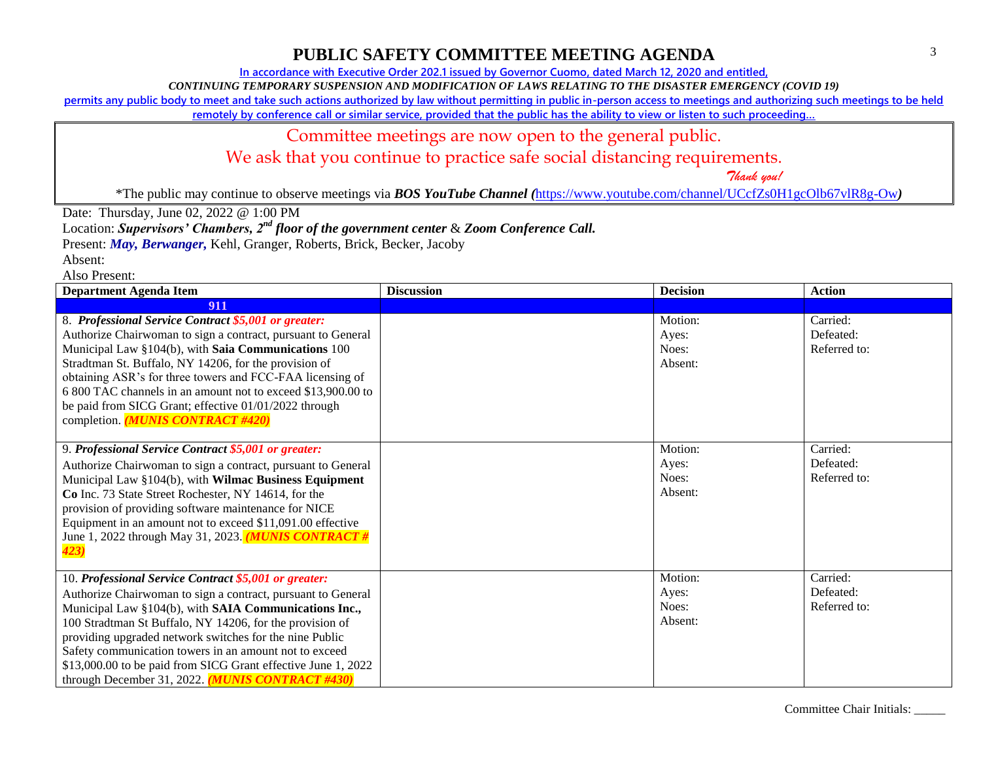**In accordance with Executive Order 202.1 issued by Governor Cuomo, dated March 12, 2020 and entitled,**

*CONTINUING TEMPORARY SUSPENSION AND MODIFICATION OF LAWS RELATING TO THE DISASTER EMERGENCY (COVID 19)*

**permits any public body to meet and take such actions authorized by law without permitting in public in-person access to meetings and authorizing such meetings to be held** 

**remotely by conference call or similar service, provided that the public has the ability to view or listen to such proceeding…**

### Committee meetings are now open to the general public.

We ask that you continue to practice safe social distancing requirements.

 *Thank you!*

\*The public may continue to observe meetings via *BOS YouTube Channel (*<https://www.youtube.com/channel/UCcfZs0H1gcOlb67vlR8g-Ow>*)*

Date: Thursday, June 02, 2022 @ 1:00 PM

Location: *Supervisors' Chambers, 2nd floor of the government center* & *Zoom Conference Call.*

Present: *May, Berwanger,* Kehl, Granger, Roberts, Brick, Becker, Jacoby

Absent:

| <b>Department Agenda Item</b>                                                                                                                                                                                                                                                                                                                                                                                                                                                        | <b>Discussion</b> | <b>Decision</b>                      | <b>Action</b>                         |
|--------------------------------------------------------------------------------------------------------------------------------------------------------------------------------------------------------------------------------------------------------------------------------------------------------------------------------------------------------------------------------------------------------------------------------------------------------------------------------------|-------------------|--------------------------------------|---------------------------------------|
| 911                                                                                                                                                                                                                                                                                                                                                                                                                                                                                  |                   |                                      |                                       |
| 8. Professional Service Contract \$5,001 or greater:<br>Authorize Chairwoman to sign a contract, pursuant to General<br>Municipal Law §104(b), with Saia Communications 100<br>Stradtman St. Buffalo, NY 14206, for the provision of<br>obtaining ASR's for three towers and FCC-FAA licensing of<br>6 800 TAC channels in an amount not to exceed \$13,900.00 to<br>be paid from SICG Grant; effective 01/01/2022 through<br>completion. (MUNIS CONTRACT #420)                      |                   | Motion:<br>Ayes:<br>Noes:<br>Absent: | Carried:<br>Defeated:<br>Referred to: |
| 9. Professional Service Contract \$5,001 or greater:<br>Authorize Chairwoman to sign a contract, pursuant to General<br>Municipal Law §104(b), with Wilmac Business Equipment<br>Co Inc. 73 State Street Rochester, NY 14614, for the<br>provision of providing software maintenance for NICE<br>Equipment in an amount not to exceed \$11,091.00 effective<br>June 1, 2022 through May 31, 2023. <i>MUNIS CONTRACT</i> #<br>423)                                                    |                   | Motion:<br>Ayes:<br>Noes:<br>Absent: | Carried:<br>Defeated:<br>Referred to: |
| 10. Professional Service Contract \$5,001 or greater:<br>Authorize Chairwoman to sign a contract, pursuant to General<br>Municipal Law §104(b), with SAIA Communications Inc.,<br>100 Stradtman St Buffalo, NY 14206, for the provision of<br>providing upgraded network switches for the nine Public<br>Safety communication towers in an amount not to exceed<br>\$13,000.00 to be paid from SICG Grant effective June 1, 2022<br>through December 31, 2022. (MUNIS CONTRACT #430) |                   | Motion:<br>Ayes:<br>Noes:<br>Absent: | Carried:<br>Defeated:<br>Referred to: |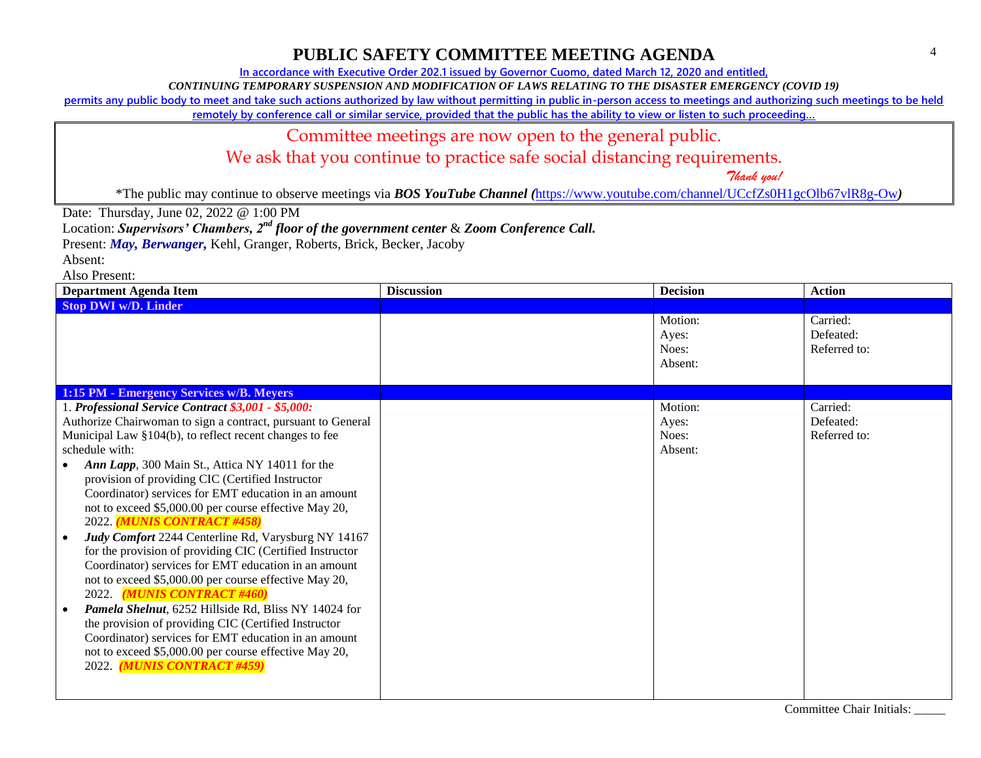**In accordance with Executive Order 202.1 issued by Governor Cuomo, dated March 12, 2020 and entitled,**

*CONTINUING TEMPORARY SUSPENSION AND MODIFICATION OF LAWS RELATING TO THE DISASTER EMERGENCY (COVID 19)*

**permits any public body to meet and take such actions authorized by law without permitting in public in-person access to meetings and authorizing such meetings to be held** 

**remotely by conference call or similar service, provided that the public has the ability to view or listen to such proceeding…**

#### Committee meetings are now open to the general public.

We ask that you continue to practice safe social distancing requirements.

 *Thank you!*

\*The public may continue to observe meetings via *BOS YouTube Channel (*<https://www.youtube.com/channel/UCcfZs0H1gcOlb67vlR8g-Ow>*)*

Date: Thursday, June 02, 2022 @ 1:00 PM

Location: *Supervisors' Chambers, 2nd floor of the government center* & *Zoom Conference Call.*

Present: *May, Berwanger,* Kehl, Granger, Roberts, Brick, Becker, Jacoby

Absent:

| <b>Department Agenda Item</b>                                                                                                                                                                                                                                                                                                                                                                                                                                                                                                                                                                                                                                                                                                                                                                       | <b>Discussion</b> | <b>Decision</b>                      | <b>Action</b>                         |
|-----------------------------------------------------------------------------------------------------------------------------------------------------------------------------------------------------------------------------------------------------------------------------------------------------------------------------------------------------------------------------------------------------------------------------------------------------------------------------------------------------------------------------------------------------------------------------------------------------------------------------------------------------------------------------------------------------------------------------------------------------------------------------------------------------|-------------------|--------------------------------------|---------------------------------------|
| <b>Stop DWI w/D. Linder</b>                                                                                                                                                                                                                                                                                                                                                                                                                                                                                                                                                                                                                                                                                                                                                                         |                   |                                      |                                       |
|                                                                                                                                                                                                                                                                                                                                                                                                                                                                                                                                                                                                                                                                                                                                                                                                     |                   | Motion:<br>Ayes:<br>Noes:<br>Absent: | Carried:<br>Defeated:<br>Referred to: |
| 1:15 PM - Emergency Services w/B. Meyers                                                                                                                                                                                                                                                                                                                                                                                                                                                                                                                                                                                                                                                                                                                                                            |                   |                                      |                                       |
| 1. Professional Service Contract \$3,001 - \$5,000:                                                                                                                                                                                                                                                                                                                                                                                                                                                                                                                                                                                                                                                                                                                                                 |                   | Motion:                              | Carried:                              |
| Authorize Chairwoman to sign a contract, pursuant to General                                                                                                                                                                                                                                                                                                                                                                                                                                                                                                                                                                                                                                                                                                                                        |                   | Ayes:                                | Defeated:                             |
| Municipal Law §104(b), to reflect recent changes to fee                                                                                                                                                                                                                                                                                                                                                                                                                                                                                                                                                                                                                                                                                                                                             |                   | Noes:                                | Referred to:                          |
| schedule with:                                                                                                                                                                                                                                                                                                                                                                                                                                                                                                                                                                                                                                                                                                                                                                                      |                   | Absent:                              |                                       |
| Ann Lapp, 300 Main St., Attica NY 14011 for the<br>provision of providing CIC (Certified Instructor<br>Coordinator) services for EMT education in an amount<br>not to exceed \$5,000.00 per course effective May 20,<br>2022. (MUNIS CONTRACT #458)<br>Judy Comfort 2244 Centerline Rd, Varysburg NY 14167<br>$\bullet$<br>for the provision of providing CIC (Certified Instructor<br>Coordinator) services for EMT education in an amount<br>not to exceed \$5,000.00 per course effective May 20,<br>2022. (MUNIS CONTRACT #460)<br>Pamela Shelnut, 6252 Hillside Rd, Bliss NY 14024 for<br>the provision of providing CIC (Certified Instructor<br>Coordinator) services for EMT education in an amount<br>not to exceed \$5,000.00 per course effective May 20,<br>2022. (MUNIS CONTRACT #459) |                   |                                      |                                       |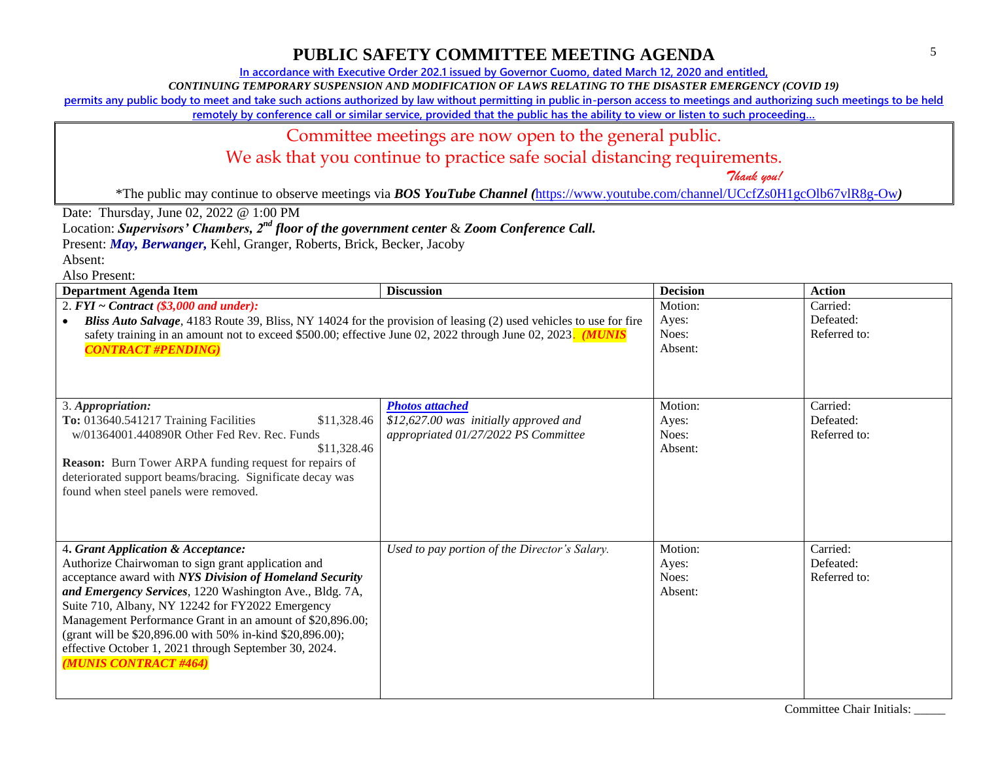**In accordance with Executive Order 202.1 issued by Governor Cuomo, dated March 12, 2020 and entitled,**

*CONTINUING TEMPORARY SUSPENSION AND MODIFICATION OF LAWS RELATING TO THE DISASTER EMERGENCY (COVID 19)*

**permits any public body to meet and take such actions authorized by law without permitting in public in-person access to meetings and authorizing such meetings to be held** 

**remotely by conference call or similar service, provided that the public has the ability to view or listen to such proceeding…**

#### Committee meetings are now open to the general public.

We ask that you continue to practice safe social distancing requirements.

 *Thank you!*

\*The public may continue to observe meetings via *BOS YouTube Channel (*<https://www.youtube.com/channel/UCcfZs0H1gcOlb67vlR8g-Ow>*)*

Date: Thursday, June 02, 2022 @ 1:00 PM

Location: *Supervisors' Chambers, 2nd floor of the government center* & *Zoom Conference Call.*

Present: *May, Berwanger,* Kehl, Granger, Roberts, Brick, Becker, Jacoby

Absent:

| <b>Department Agenda Item</b>                                                                                     | <b>Discussion</b>                             | <b>Decision</b> | <b>Action</b> |
|-------------------------------------------------------------------------------------------------------------------|-----------------------------------------------|-----------------|---------------|
| 2. $FYI \sim Contract$ (\$3,000 and under):                                                                       |                                               | Motion:         | Carried:      |
| Bliss Auto Salvage, 4183 Route 39, Bliss, NY 14024 for the provision of leasing (2) used vehicles to use for fire |                                               | Ayes:           | Defeated:     |
| safety training in an amount not to exceed \$500.00; effective June 02, 2022 through June 02, 2023. (MUNIS        |                                               | Noes:           | Referred to:  |
| <b>CONTRACT #PENDING)</b>                                                                                         |                                               | Absent:         |               |
|                                                                                                                   |                                               |                 |               |
|                                                                                                                   |                                               |                 |               |
|                                                                                                                   |                                               |                 |               |
| 3. Appropriation:                                                                                                 | <b>Photos attached</b>                        | Motion:         | Carried:      |
| To: 013640.541217 Training Facilities<br>\$11,328.46                                                              | \$12,627.00 was initially approved and        | Ayes:           | Defeated:     |
| w/01364001.440890R Other Fed Rev. Rec. Funds                                                                      | appropriated 01/27/2022 PS Committee          | Noes:           | Referred to:  |
| \$11,328.46                                                                                                       |                                               | Absent:         |               |
| <b>Reason:</b> Burn Tower ARPA funding request for repairs of                                                     |                                               |                 |               |
| deteriorated support beams/bracing. Significate decay was                                                         |                                               |                 |               |
| found when steel panels were removed.                                                                             |                                               |                 |               |
|                                                                                                                   |                                               |                 |               |
|                                                                                                                   |                                               |                 |               |
|                                                                                                                   |                                               | Motion:         | Carried:      |
| 4. Grant Application & Acceptance:                                                                                | Used to pay portion of the Director's Salary. |                 | Defeated:     |
| Authorize Chairwoman to sign grant application and                                                                |                                               | Ayes:<br>Noes:  | Referred to:  |
| acceptance award with NYS Division of Homeland Security                                                           |                                               | Absent:         |               |
| and Emergency Services, 1220 Washington Ave., Bldg. 7A,                                                           |                                               |                 |               |
| Suite 710, Albany, NY 12242 for FY2022 Emergency                                                                  |                                               |                 |               |
| Management Performance Grant in an amount of \$20,896.00;                                                         |                                               |                 |               |
| (grant will be \$20,896.00 with 50% in-kind \$20,896.00);                                                         |                                               |                 |               |
| effective October 1, 2021 through September 30, 2024.                                                             |                                               |                 |               |
| (MUNIS CONTRACT #464)                                                                                             |                                               |                 |               |
|                                                                                                                   |                                               |                 |               |
|                                                                                                                   |                                               |                 |               |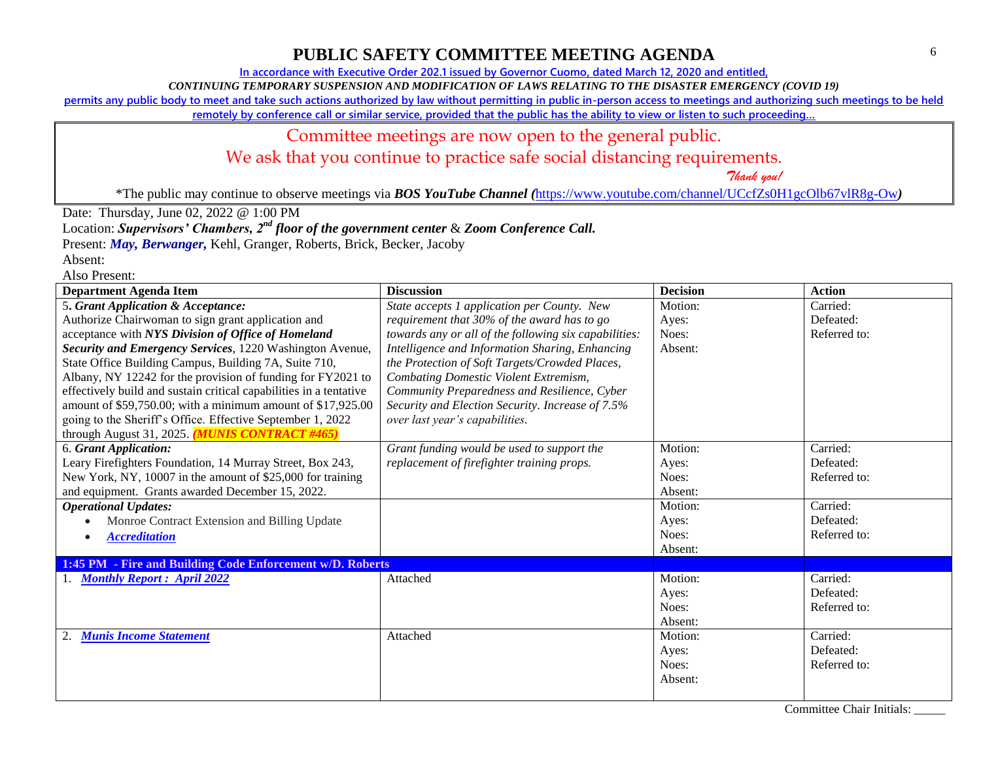**In accordance with Executive Order 202.1 issued by Governor Cuomo, dated March 12, 2020 and entitled,**

*CONTINUING TEMPORARY SUSPENSION AND MODIFICATION OF LAWS RELATING TO THE DISASTER EMERGENCY (COVID 19)*

**permits any public body to meet and take such actions authorized by law without permitting in public in-person access to meetings and authorizing such meetings to be held** 

**remotely by conference call or similar service, provided that the public has the ability to view or listen to such proceeding…**

#### Committee meetings are now open to the general public. We ask that you continue to practice safe social distancing requirements.

 *Thank you!*

\*The public may continue to observe meetings via *BOS YouTube Channel (*<https://www.youtube.com/channel/UCcfZs0H1gcOlb67vlR8g-Ow>*)*

Date: Thursday, June 02, 2022 @ 1:00 PM

Location: *Supervisors' Chambers, 2nd floor of the government center* & *Zoom Conference Call.*

Present: *May, Berwanger,* Kehl, Granger, Roberts, Brick, Becker, Jacoby

Absent: Also Present:

| Department Agenda Item                                             | <b>Discussion</b>                                     | <b>Decision</b> | <b>Action</b> |
|--------------------------------------------------------------------|-------------------------------------------------------|-----------------|---------------|
| 5. Grant Application & Acceptance:                                 | State accepts 1 application per County. New           | Motion:         | Carried:      |
| Authorize Chairwoman to sign grant application and                 | requirement that 30% of the award has to go           | Ayes:           | Defeated:     |
| acceptance with NYS Division of Office of Homeland                 | towards any or all of the following six capabilities: | Noes:           | Referred to:  |
| Security and Emergency Services, 1220 Washington Avenue,           | Intelligence and Information Sharing, Enhancing       | Absent:         |               |
| State Office Building Campus, Building 7A, Suite 710,              | the Protection of Soft Targets/Crowded Places,        |                 |               |
| Albany, NY 12242 for the provision of funding for FY2021 to        | <b>Combating Domestic Violent Extremism,</b>          |                 |               |
| effectively build and sustain critical capabilities in a tentative | Community Preparedness and Resilience, Cyber          |                 |               |
| amount of \$59,750.00; with a minimum amount of \$17,925.00        | Security and Election Security. Increase of 7.5%      |                 |               |
| going to the Sheriff's Office. Effective September 1, 2022         | over last year's capabilities.                        |                 |               |
| through August 31, 2025. (MUNIS CONTRACT #465)                     |                                                       |                 |               |
| 6. Grant Application:                                              | Grant funding would be used to support the            | Motion:         | Carried:      |
| Leary Firefighters Foundation, 14 Murray Street, Box 243,          | replacement of firefighter training props.            | Ayes:           | Defeated:     |
| New York, NY, 10007 in the amount of \$25,000 for training         |                                                       | Noes:           | Referred to:  |
| and equipment. Grants awarded December 15, 2022.                   |                                                       | Absent:         |               |
| <b>Operational Updates:</b>                                        |                                                       | Motion:         | Carried:      |
| Monroe Contract Extension and Billing Update                       |                                                       | Ayes:           | Defeated:     |
| <b>Accreditation</b><br>$\bullet$                                  |                                                       | Noes:           | Referred to:  |
|                                                                    |                                                       | Absent:         |               |
| 1:45 PM - Fire and Building Code Enforcement w/D. Roberts          |                                                       |                 |               |
| <b>Monthly Report: April 2022</b>                                  | Attached                                              | Motion:         | Carried:      |
|                                                                    |                                                       | Ayes:           | Defeated:     |
|                                                                    |                                                       | Noes:           | Referred to:  |
|                                                                    |                                                       | Absent:         |               |
| <b>Munis Income Statement</b>                                      | Attached                                              | Motion:         | Carried:      |
|                                                                    |                                                       | Ayes:           | Defeated:     |
|                                                                    |                                                       | Noes:           | Referred to:  |
|                                                                    |                                                       | Absent:         |               |
|                                                                    |                                                       |                 |               |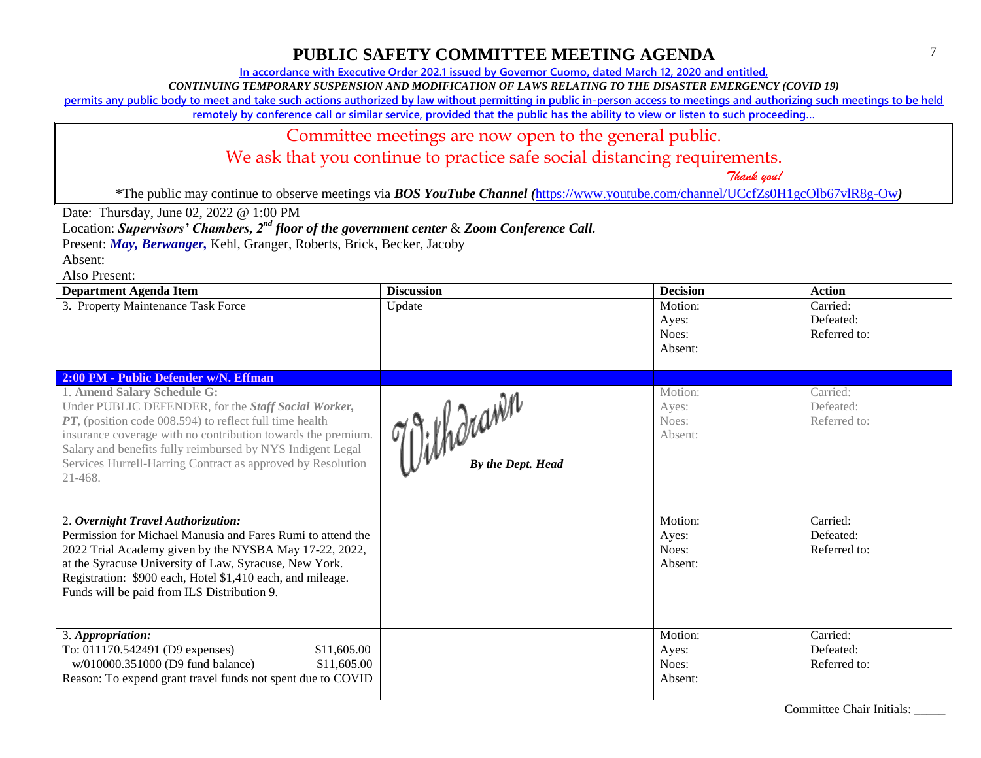**In accordance with Executive Order 202.1 issued by Governor Cuomo, dated March 12, 2020 and entitled,**

*CONTINUING TEMPORARY SUSPENSION AND MODIFICATION OF LAWS RELATING TO THE DISASTER EMERGENCY (COVID 19)*

**permits any public body to meet and take such actions authorized by law without permitting in public in-person access to meetings and authorizing such meetings to be held** 

**remotely by conference call or similar service, provided that the public has the ability to view or listen to such proceeding…**

### Committee meetings are now open to the general public.

We ask that you continue to practice safe social distancing requirements.

 *Thank you!*

\*The public may continue to observe meetings via *BOS YouTube Channel (*<https://www.youtube.com/channel/UCcfZs0H1gcOlb67vlR8g-Ow>*)*

Date: Thursday, June 02, 2022 @ 1:00 PM

Location: *Supervisors' Chambers, 2nd floor of the government center* & *Zoom Conference Call.*

Present: *May, Berwanger,* Kehl, Granger, Roberts, Brick, Becker, Jacoby

Absent:

| <b>Department Agenda Item</b>                                                                                                                                                                                                                                                                                                                              | <b>Discussion</b>              | <b>Decision</b>                      | <b>Action</b>                         |
|------------------------------------------------------------------------------------------------------------------------------------------------------------------------------------------------------------------------------------------------------------------------------------------------------------------------------------------------------------|--------------------------------|--------------------------------------|---------------------------------------|
| 3. Property Maintenance Task Force                                                                                                                                                                                                                                                                                                                         | Update                         | Motion:<br>Ayes:<br>Noes:<br>Absent: | Carried:<br>Defeated:<br>Referred to: |
| 2:00 PM - Public Defender w/N. Effman                                                                                                                                                                                                                                                                                                                      |                                |                                      |                                       |
| 1. Amend Salary Schedule G:<br>Under PUBLIC DEFENDER, for the Staff Social Worker,<br>PT, (position code 008.594) to reflect full time health<br>insurance coverage with no contribution towards the premium.<br>Salary and benefits fully reimbursed by NYS Indigent Legal<br>Services Hurrell-Harring Contract as approved by Resolution<br>$21 - 468$ . | githdrawn<br>By the Dept. Head | Motion:<br>Ayes:<br>Noes:<br>Absent: | Carried:<br>Defeated:<br>Referred to: |
| 2. Overnight Travel Authorization:                                                                                                                                                                                                                                                                                                                         |                                | Motion:                              | Carried:                              |
| Permission for Michael Manusia and Fares Rumi to attend the<br>2022 Trial Academy given by the NYSBA May 17-22, 2022,<br>at the Syracuse University of Law, Syracuse, New York.<br>Registration: \$900 each, Hotel \$1,410 each, and mileage.<br>Funds will be paid from ILS Distribution 9.                                                               |                                | Ayes:<br>Noes:<br>Absent:            | Defeated:<br>Referred to:             |
| 3. Appropriation:<br>To: 011170.542491 (D9 expenses)<br>\$11,605.00<br>w/010000.351000 (D9 fund balance)<br>\$11,605.00<br>Reason: To expend grant travel funds not spent due to COVID                                                                                                                                                                     |                                | Motion:<br>Ayes:<br>Noes:<br>Absent: | Carried:<br>Defeated:<br>Referred to: |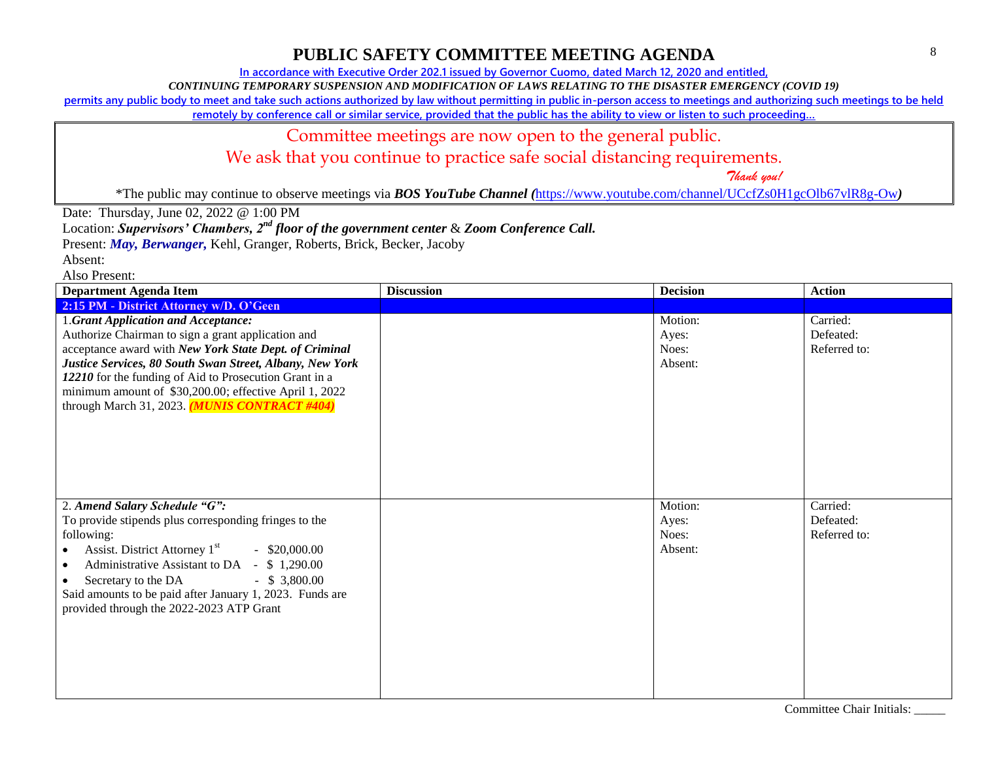**In accordance with Executive Order 202.1 issued by Governor Cuomo, dated March 12, 2020 and entitled,**

*CONTINUING TEMPORARY SUSPENSION AND MODIFICATION OF LAWS RELATING TO THE DISASTER EMERGENCY (COVID 19)*

**permits any public body to meet and take such actions authorized by law without permitting in public in-person access to meetings and authorizing such meetings to be held** 

**remotely by conference call or similar service, provided that the public has the ability to view or listen to such proceeding…**

### Committee meetings are now open to the general public.

We ask that you continue to practice safe social distancing requirements.

 *Thank you!*

\*The public may continue to observe meetings via *BOS YouTube Channel (*<https://www.youtube.com/channel/UCcfZs0H1gcOlb67vlR8g-Ow>*)*

Date: Thursday, June 02, 2022 @ 1:00 PM

Location: *Supervisors' Chambers, 2nd floor of the government center* & *Zoom Conference Call.*

Present: *May, Berwanger,* Kehl, Granger, Roberts, Brick, Becker, Jacoby

Absent:

| <b>Department Agenda Item</b>                                                                                                                                                                                                                                                                                                                                                        | <b>Discussion</b> | <b>Decision</b>                      | <b>Action</b>                         |
|--------------------------------------------------------------------------------------------------------------------------------------------------------------------------------------------------------------------------------------------------------------------------------------------------------------------------------------------------------------------------------------|-------------------|--------------------------------------|---------------------------------------|
| 2:15 PM - District Attorney w/D. O'Geen                                                                                                                                                                                                                                                                                                                                              |                   |                                      |                                       |
| 1.Grant Application and Acceptance:<br>Authorize Chairman to sign a grant application and<br>acceptance award with New York State Dept. of Criminal<br>Justice Services, 80 South Swan Street, Albany, New York<br>12210 for the funding of Aid to Prosecution Grant in a<br>minimum amount of \$30,200.00; effective April 1, 2022<br>through March 31, 2023. (MUNIS CONTRACT #404) |                   | Motion:<br>Ayes:<br>Noes:<br>Absent: | Carried:<br>Defeated:<br>Referred to: |
| 2. Amend Salary Schedule "G":<br>To provide stipends plus corresponding fringes to the<br>following:<br>Assist. District Attorney 1 <sup>st</sup><br>$-$ \$20,000.00<br>Administrative Assistant to DA - \$1,290.00<br>$\bullet$<br>Secretary to the DA<br>$-$ \$ 3,800.00<br>Said amounts to be paid after January 1, 2023. Funds are<br>provided through the 2022-2023 ATP Grant   |                   | Motion:<br>Ayes:<br>Noes:<br>Absent: | Carried:<br>Defeated:<br>Referred to: |